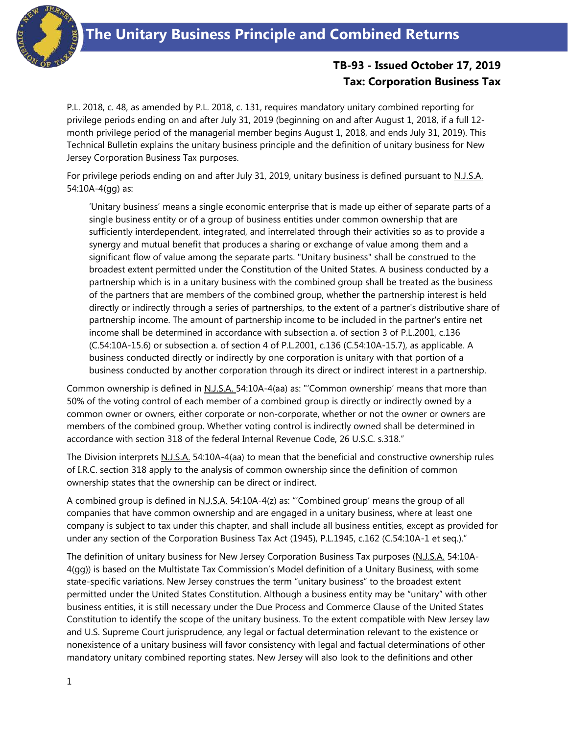

## **TB-93 - Issued October 17, 2019 Tax: Corporation Business Tax**

P.L. 2018, c. 48, as amended by P.L. 2018, c. 131, requires mandatory unitary combined reporting for privilege periods ending on and after July 31, 2019 (beginning on and after August 1, 2018, if a full 12 month privilege period of the managerial member begins August 1, 2018, and ends July 31, 2019). This Technical Bulletin explains the unitary business principle and the definition of unitary business for New Jersey Corporation Business Tax purposes.

For privilege periods ending on and after July 31, 2019, unitary business is defined pursuant to N.J.S.A. 54:10A-4(gg) as:

'Unitary business' means a single economic enterprise that is made up either of separate parts of a single business entity or of a group of business entities under common ownership that are sufficiently interdependent, integrated, and interrelated through their activities so as to provide a synergy and mutual benefit that produces a sharing or exchange of value among them and a significant flow of value among the separate parts. "Unitary business" shall be construed to the broadest extent permitted under the Constitution of the United States. A business conducted by a partnership which is in a unitary business with the combined group shall be treated as the business of the partners that are members of the combined group, whether the partnership interest is held directly or indirectly through a series of partnerships, to the extent of a partner's distributive share of partnership income. The amount of partnership income to be included in the partner's entire net income shall be determined in accordance with subsection a. of section 3 of P.L.2001, c.136 (C.54:10A-15.6) or subsection a. of section 4 of P.L.2001, c.136 (C.54:10A-15.7), as applicable. A business conducted directly or indirectly by one corporation is unitary with that portion of a business conducted by another corporation through its direct or indirect interest in a partnership.

Common ownership is defined in N.J.S.A. 54:10A-4(aa) as: "'Common ownership' means that more than 50% of the voting control of each member of a combined group is directly or indirectly owned by a common owner or owners, either corporate or non-corporate, whether or not the owner or owners are members of the combined group. Whether voting control is indirectly owned shall be determined in accordance with section 318 of the federal Internal Revenue Code, 26 U.S.C. s.318."

The Division interprets N.J.S.A. 54:10A-4(aa) to mean that the beneficial and constructive ownership rules of I.R.C. section 318 apply to the analysis of common ownership since the definition of common ownership states that the ownership can be direct or indirect.

A combined group is defined in N.J.S.A. 54:10A-4(z) as: "'Combined group' means the group of all companies that have common ownership and are engaged in a unitary business, where at least one company is subject to tax under this chapter, and shall include all business entities, except as provided for under any section of the Corporation Business Tax Act (1945), P.L.1945, c.162 (C.54:10A-1 et seq.)."

The definition of unitary business for New Jersey Corporation Business Tax purposes (N.J.S.A. 54:10A-4(gg)) is based on the Multistate Tax Commission's Model definition of a Unitary Business, with some state-specific variations. New Jersey construes the term "unitary business" to the broadest extent permitted under the United States Constitution. Although a business entity may be "unitary" with other business entities, it is still necessary under the Due Process and Commerce Clause of the United States Constitution to identify the scope of the unitary business. To the extent compatible with New Jersey law and U.S. Supreme Court jurisprudence, any legal or factual determination relevant to the existence or nonexistence of a unitary business will favor consistency with legal and factual determinations of other mandatory unitary combined reporting states. New Jersey will also look to the definitions and other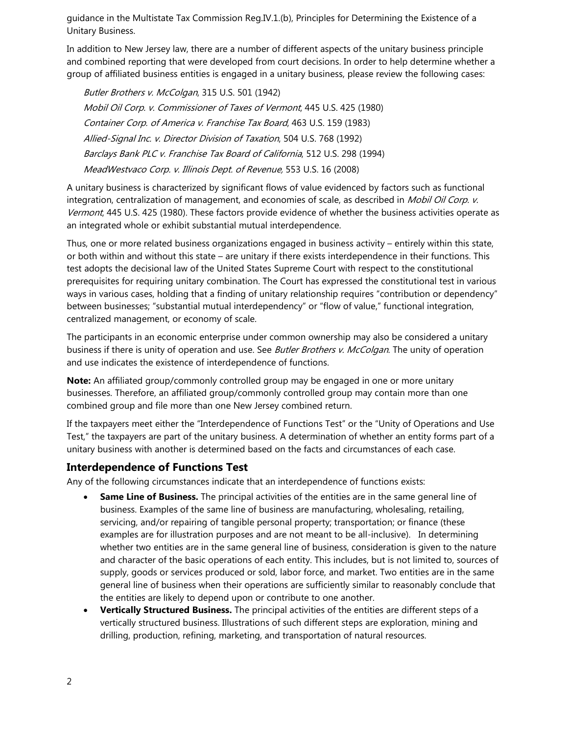guidance in the Multistate Tax Commission Reg.IV.1.(b), Principles for Determining the Existence of a Unitary Business.

In addition to New Jersey law, there are a number of different aspects of the unitary business principle and combined reporting that were developed from court decisions. In order to help determine whether a group of affiliated business entities is engaged in a unitary business, please review the following cases:

Butler Brothers v. McColgan, 315 U.S. 501 (1942) Mobil Oil Corp. v. Commissioner of Taxes of Vermont, 445 U.S. 425 (1980) Container Corp. of America v. Franchise Tax Board, 463 U.S. 159 (1983) Allied-Signal Inc. v. Director Division of Taxation, 504 U.S. 768 (1992) Barclays Bank PLC v. Franchise Tax Board of California, 512 U.S. 298 (1994) MeadWestvaco Corp. v. Illinois Dept. of Revenue, 553 U.S. 16 (2008)

A unitary business is characterized by significant flows of value evidenced by factors such as functional integration, centralization of management, and economies of scale, as described in *Mobil Oil Corp. v.* Vermont, 445 U.S. 425 (1980). These factors provide evidence of whether the business activities operate as an integrated whole or exhibit substantial mutual interdependence.

Thus, one or more related business organizations engaged in business activity – entirely within this state, or both within and without this state – are unitary if there exists interdependence in their functions. This test adopts the decisional law of the United States Supreme Court with respect to the constitutional prerequisites for requiring unitary combination. The Court has expressed the constitutional test in various ways in various cases, holding that a finding of unitary relationship requires "contribution or dependency" between businesses; "substantial mutual interdependency" or "flow of value," functional integration, centralized management, or economy of scale.

The participants in an economic enterprise under common ownership may also be considered a unitary business if there is unity of operation and use. See *Butler Brothers v. McColgan*. The unity of operation and use indicates the existence of interdependence of functions.

**Note:** An affiliated group/commonly controlled group may be engaged in one or more unitary businesses. Therefore, an affiliated group/commonly controlled group may contain more than one combined group and file more than one New Jersey combined return.

If the taxpayers meet either the "Interdependence of Functions Test" or the "Unity of Operations and Use Test," the taxpayers are part of the unitary business. A determination of whether an entity forms part of a unitary business with another is determined based on the facts and circumstances of each case.

## **Interdependence of Functions Test**

Any of the following circumstances indicate that an interdependence of functions exists:

- **Same Line of Business.** The principal activities of the entities are in the same general line of business. Examples of the same line of business are manufacturing, wholesaling, retailing, servicing, and/or repairing of tangible personal property; transportation; or finance (these examples are for illustration purposes and are not meant to be all-inclusive). In determining whether two entities are in the same general line of business, consideration is given to the nature and character of the basic operations of each entity. This includes, but is not limited to, sources of supply, goods or services produced or sold, labor force, and market. Two entities are in the same general line of business when their operations are sufficiently similar to reasonably conclude that the entities are likely to depend upon or contribute to one another.
- **Vertically Structured Business.** The principal activities of the entities are different steps of a vertically structured business. Illustrations of such different steps are exploration, mining and drilling, production, refining, marketing, and transportation of natural resources.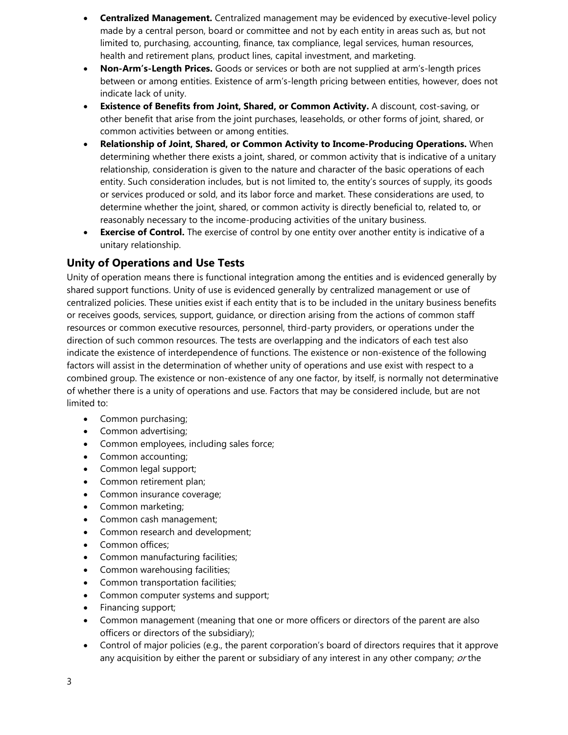- **Centralized Management.** Centralized management may be evidenced by executive-level policy made by a central person, board or committee and not by each entity in areas such as, but not limited to, purchasing, accounting, finance, tax compliance, legal services, human resources, health and retirement plans, product lines, capital investment, and marketing.
- **Non-Arm's-Length Prices.** Goods or services or both are not supplied at arm's-length prices between or among entities. Existence of arm's-length pricing between entities, however, does not indicate lack of unity.
- **Existence of Benefits from Joint, Shared, or Common Activity.** A discount, cost-saving, or other benefit that arise from the joint purchases, leaseholds, or other forms of joint, shared, or common activities between or among entities.
- **Relationship of Joint, Shared, or Common Activity to Income-Producing Operations.** When determining whether there exists a joint, shared, or common activity that is indicative of a unitary relationship, consideration is given to the nature and character of the basic operations of each entity. Such consideration includes, but is not limited to, the entity's sources of supply, its goods or services produced or sold, and its labor force and market. These considerations are used, to determine whether the joint, shared, or common activity is directly beneficial to, related to, or reasonably necessary to the income-producing activities of the unitary business.
- **Exercise of Control.** The exercise of control by one entity over another entity is indicative of a unitary relationship.

## **Unity of Operations and Use Tests**

Unity of operation means there is functional integration among the entities and is evidenced generally by shared support functions. Unity of use is evidenced generally by centralized management or use of centralized policies. These unities exist if each entity that is to be included in the unitary business benefits or receives goods, services, support, guidance, or direction arising from the actions of common staff resources or common executive resources, personnel, third-party providers, or operations under the direction of such common resources. The tests are overlapping and the indicators of each test also indicate the existence of interdependence of functions. The existence or non-existence of the following factors will assist in the determination of whether unity of operations and use exist with respect to a combined group. The existence or non-existence of any one factor, by itself, is normally not determinative of whether there is a unity of operations and use. Factors that may be considered include, but are not limited to:

- Common purchasing;
- Common advertising;
- Common employees, including sales force;
- Common accounting;
- Common legal support;
- Common retirement plan;
- Common insurance coverage;
- Common marketing;
- Common cash management;
- Common research and development;
- Common offices;
- Common manufacturing facilities;
- Common warehousing facilities;
- Common transportation facilities;
- Common computer systems and support;
- Financing support;
- Common management (meaning that one or more officers or directors of the parent are also officers or directors of the subsidiary);
- Control of major policies (e.g., the parent corporation's board of directors requires that it approve any acquisition by either the parent or subsidiary of any interest in any other company; or the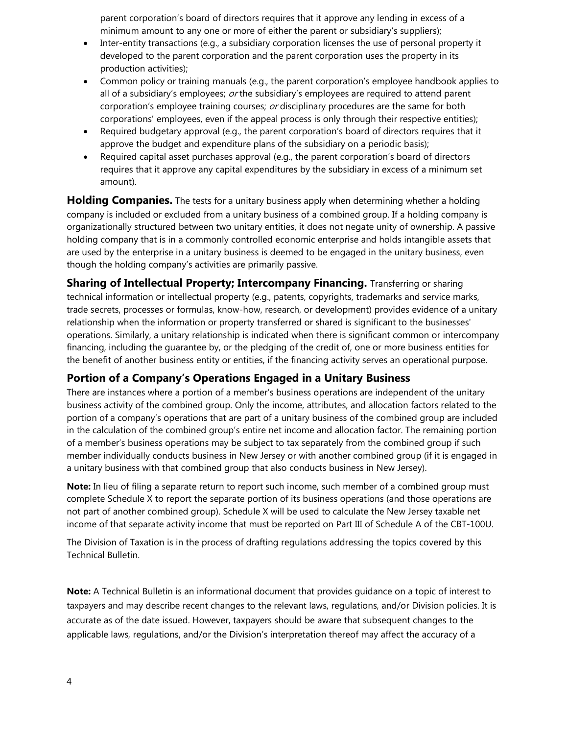parent corporation's board of directors requires that it approve any lending in excess of a minimum amount to any one or more of either the parent or subsidiary's suppliers);

- Inter-entity transactions (e.g., a subsidiary corporation licenses the use of personal property it developed to the parent corporation and the parent corporation uses the property in its production activities);
- Common policy or training manuals (e.g., the parent corporation's employee handbook applies to all of a subsidiary's employees;  $or$  the subsidiary's employees are required to attend parent corporation's employee training courses; or disciplinary procedures are the same for both corporations' employees, even if the appeal process is only through their respective entities);
- Required budgetary approval (e.g., the parent corporation's board of directors requires that it approve the budget and expenditure plans of the subsidiary on a periodic basis);
- Required capital asset purchases approval (e.g., the parent corporation's board of directors requires that it approve any capital expenditures by the subsidiary in excess of a minimum set amount).

**Holding Companies.** The tests for a unitary business apply when determining whether a holding company is included or excluded from a unitary business of a combined group. If a holding company is organizationally structured between two unitary entities, it does not negate unity of ownership. A passive holding company that is in a commonly controlled economic enterprise and holds intangible assets that are used by the enterprise in a unitary business is deemed to be engaged in the unitary business, even though the holding company's activities are primarily passive.

**Sharing of Intellectual Property; Intercompany Financing.** Transferring or sharing technical information or intellectual property (e.g., patents, copyrights, trademarks and service marks, trade secrets, processes or formulas, know-how, research, or development) provides evidence of a unitary relationship when the information or property transferred or shared is significant to the businesses' operations. Similarly, a unitary relationship is indicated when there is significant common or intercompany financing, including the guarantee by, or the pledging of the credit of, one or more business entities for the benefit of another business entity or entities, if the financing activity serves an operational purpose.

## **Portion of a Company's Operations Engaged in a Unitary Business**

There are instances where a portion of a member's business operations are independent of the unitary business activity of the combined group. Only the income, attributes, and allocation factors related to the portion of a company's operations that are part of a unitary business of the combined group are included in the calculation of the combined group's entire net income and allocation factor. The remaining portion of a member's business operations may be subject to tax separately from the combined group if such member individually conducts business in New Jersey or with another combined group (if it is engaged in a unitary business with that combined group that also conducts business in New Jersey).

**Note:** In lieu of filing a separate return to report such income, such member of a combined group must complete Schedule X to report the separate portion of its business operations (and those operations are not part of another combined group). Schedule X will be used to calculate the New Jersey taxable net income of that separate activity income that must be reported on Part III of Schedule A of the CBT-100U.

The Division of Taxation is in the process of drafting regulations addressing the topics covered by this Technical Bulletin.

**Note:** A Technical Bulletin is an informational document that provides guidance on a topic of interest to taxpayers and may describe recent changes to the relevant laws, regulations, and/or Division policies. It is accurate as of the date issued. However, taxpayers should be aware that subsequent changes to the applicable laws, regulations, and/or the Division's interpretation thereof may affect the accuracy of a